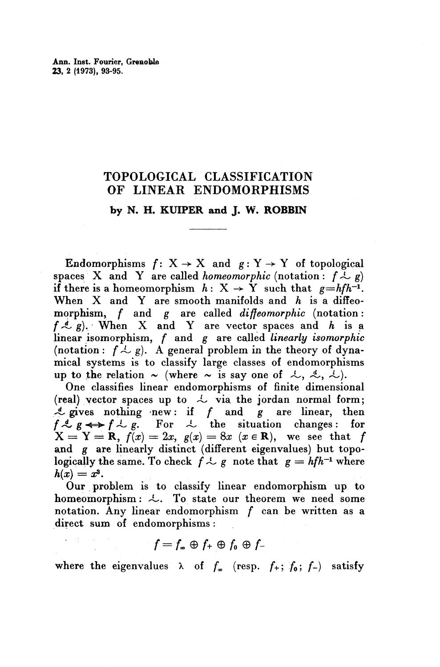## TOPOLOGICAL CLASSIFICATION OF LINEAR ENDOMORPHISMS

## **by N. H. KUIPER and J. W. ROBBIN**

Endomorphisms  $f: X \rightarrow X$  and  $g: Y \rightarrow Y$  of topological spaces X and Y are called *homeomorphic* (notation:  $f \stackrel{t}{\sim} g$ ) if there is a homeomorphism  $h: X \rightarrow Y$  such that  $g = h f h^{-1}$ . When X and Y are smooth manifolds and *h* is a diffeomorphism, *f* and *g* are called *diffeomorphic* (notation:  $f \stackrel{d}{\sim} g$ ). When X and Y are vector spaces and h is a f. e.g., When X and Y are vector spaces and h is a<br>linear isomorphism, f and g are called *linearly isomorphic* linear isomorphism,  $f$  and  $g$  are called *linearly isomorphic* (notation:  $f \nightharpoonup g$ ). A general problem in the theory of dynamical systems is to classify large classes of endomorphisms up to the relation  $\sim$  (where  $\sim$  is say one of  $\sim$ ,  $\sim$ ,  $\sim$ ).

One classifies linear endomorphisms of finite dimensional (real) vector spaces up to  $\sim$  via the jordan normal form;  $\leftarrow$  (real) vector spaces up to  $\leftarrow$  via the jordan normal form;<br> $\leftarrow$  gives nothing new: if  $f$  and  $g$  are linear, then  $f \triangle g \leftrightarrow f \triangle g$ . For  $\angle$  the situation changes: for  $X = Y = \mathbf{R}$ ,  $f(x) = 2x$ ,  $g(x) = 8x$  ( $x \in \mathbf{R}$ ), we see that f and g are linearly distinct (different eigenvalues) but topologically the same. To check  $f \sim g$  note that  $g = h f h^{-1}$  where  $h(x)=x^3$ .

Our problem is to classify linear endomorphism up to homeomorphism: ~. To state our theorem we need some notation. Any linear endomorphism *f* can be written as a direct sum of endomorphisms :

$$
f=f_{\infty}\oplus f_{+}\oplus f_{0}\oplus f_{-}
$$

where the eigenvalues  $\lambda$  of  $f^*$  (resp.  $f^+$ ;  $f_0$ ;  $f^-$ ) satisfy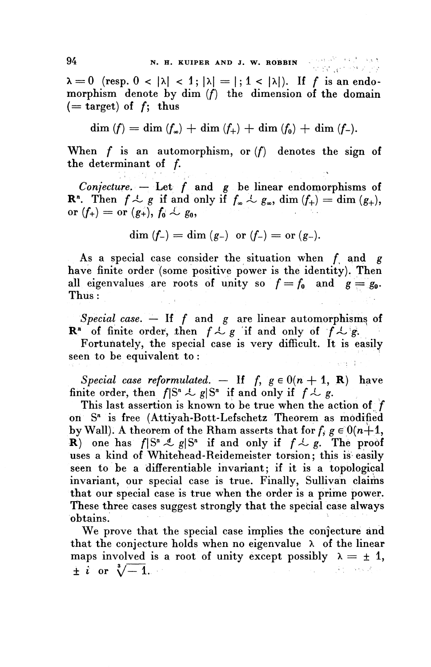$\lambda=0$  (resp.  $0<|\lambda|<1$ ;  $|\lambda|=$  |;  $1<|\lambda|$ ). If f is an endomorphism denote by dim *(f)* the dimension of the domain  $($  = target) of  $f$ ; thus

$$
\dim(f) = \dim(f_{*}) + \dim(f_{+}) + \dim(f_{0}) + \dim(f_{-}).
$$

dim  $(f) = \dim(f_{\infty}) + \dim(f_{+}) + \dim(f_{0}) + \dim(f_{-}).$ <br>When f is an automorphism, or  $(f)$  denotes the sign of the determinant of *f.*

*Conjecture,*— Let *f* and *g* be linear endomorphisms of **R**<sup>n</sup>. Then  $f \stackrel{.}{\sim} g$  if and only if  $f_{\infty} \stackrel{.}{\sim} g_{\infty}$ , dim  $(f_{+}) = \dim (g_{+}),$ or  $(f_{+}) =$  or  $(g_{+}), f_{0} \mathcal{L} g_{0},$ 

dim 
$$
(f_{-})
$$
 = dim  $(g_{-})$  or  $(f_{-})$  = or  $(g_{-})$ .

As a special case consider the situation when *f* and*<sup>g</sup>* have finite order (some positive power is the identity). Then all eigenvalues are roots of unity so  $f = f_0$  and  $g = g_0$ . all eigenvalues are roots of unity so  $f = f_0$  and  $g = g_0$ .<br>Thus:

*Special case. —* If *f* and *g* are linear automorphisms of  $R^{n}$  of finite order, then  $f \stackrel{\perp}{\sim} g$  if and only of  $f \stackrel{\perp}{\sim} g$ .

Fortunately, the special case is very difficult. It is easily seen to be equivalent to :

*Special case reformulated.* — If  $f$ ,  $g \in 0(n + 1, R)$  have finite order, then  $f|S^n \sim g|S^n$  if and only if  $f \sim g$ . finite order, then  $f|S^n \nightharpoonup g|S^n$  if and only if  $f \nightharpoonup g$ .<br>This last assertion is known to be true when the action of *f* 

on S" is free (Attiyah-Bott-Lefschetz Theorem as modified by Wall). A theorem of the Rham asserts that for  $f, g \in 0(n+1, 1)$ R) one has  $f|S^n \stackrel{d}{\sim} g|S^n$  if and only if  $f \stackrel{f}{\sim} g$ . The proof uses a kind of Whitehead-Reidemeister torsion; this is easily seen to be a differentiable invariant; if it is a topological invariant, our special case is true. Finally, Sullivan claims that our special case is true when the order is a prime power. These three cases suggest strongly that the special case always obtains.

We prove that the special case implies the conjecture and that the conjecture holds when no eigenvalue  $\lambda$  of the linear maps involved is a root of unity except possibly  $\lambda = \pm 1$ ,  $\pm i$  or  $\sqrt[3]{-1}$ . 的复数人名英格兰  $\mathcal{A}_{\mathbf{q}}$  ,  $\mathcal{A}_{\mathbf{q}}$